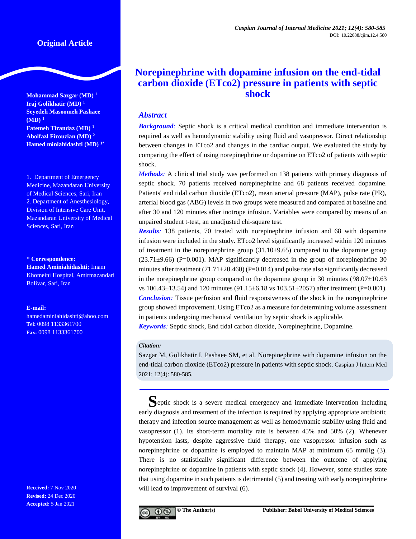## **Original Article**

**Mohammad Sazgar (MD) <sup>1</sup> Iraj Golikhatir (MD) <sup>1</sup> Seyedeh Masoomeh Pashaee (MD) <sup>1</sup> Fatemeh Tirandaz (MD) <sup>1</sup> Abolfazl Firouzian (MD) <sup>2</sup> Hamed miniahidashti (MD) 1\***

1. Department of Emergency Medicine, Mazandaran University of Medical Sciences, Sari, Iran 2. Department of Anesthesiology, Division of Intensive Care Unit, Mazandaran University of Medical Sciences, Sari, Iran

**\* Correspondence:**

**Hamed Aminiahidashti;** Imam Khomeini Hospital, Amirmazandari Bolivar, Sari, Iran

**E-mail:** 

hamedaminiahidashti@ahoo.com **Tel:** 0098 1133361700 **Fax:** 0098 1133361700

**Received:** 7 Nov 2020 **Revised:** 24 Dec 2020 **Accepted:** 5 Jan 2021

# **Norepinephrine with dopamine infusion on the end-tidal carbon dioxide (ETco2) pressure in patients with septic shock**

## *Abstract*

**Background**: Septic shock is a critical medical condition and immediate intervention is required as well as hemodynamic stability using fluid and vasopressor. Direct relationship between changes in ETco2 and changes in the cardiac output. We evaluated the study by comparing the effect of using norepinephrine or dopamine on ETco2 of patients with septic shock.

*Methods:* A clinical trial study was performed on 138 patients with primary diagnosis of septic shock. 70 patients received norepinephrine and 68 patients received dopamine. Patients' end tidal carbon dioxide (ETco2), mean arterial pressure (MAP), pulse rate (PR), arterial blood gas (ABG) levels in two groups were measured and compared at baseline and after 30 and 120 minutes after inotrope infusion. Variables were compared by means of an unpaired student t-test, an unadjusted chi-square test.

*Results:* 138 patients, 70 treated with norepinephrine infusion and 68 with dopamine infusion were included in the study. ETco2 level significantly increased within 120 minutes of treatment in the norepinephrine group  $(31.10\pm9.65)$  compared to the dopamine group  $(23.71\pm9.66)$  (P=0.001). MAP significantly decreased in the group of norepinephrine 30 minutes after treatment  $(71.71\pm20.460)$  (P=0.014) and pulse rate also significantly decreased in the norepinephrine group compared to the dopamine group in 30 minutes  $(98.07 \pm 10.63)$ vs 106.43±13.54) and 120 minutes (91.15±6.18 vs 103.51±2057) after treatment (P=0.001). *Conclusion:* Tissue perfusion and fluid responsiveness of the shock in the norepinephrine group showed improvement. Using ETco2 as a measure for determining volume assessment in patients undergoing mechanical ventilation by septic shock is applicable.

*Keywords:* Septic shock, End tidal carbon dioxide, Norepinephrine, Dopamine.

#### *Citation:*

Sazgar M, Golikhatir I, Pashaee SM, et al. Norepinephrine with dopamine infusion on the end-tidal carbon dioxide (ETco2) pressure in patients with septic shock. Caspian J Intern Med 2021; 12(4): 580-585.

**S**eptic shock is a severe medical emergency and immediate intervention including early diagnosis and treatment of the infection is required by applying appropriate antibiotic therapy and infection source management as well as hemodynamic stability using fluid and vasopressor [\(1\)](#page-4-0). Its short-term mortality rate is between 45% and 50% [\(2\)](#page-5-0). Whenever hypotension lasts, despite aggressive fluid therapy, one vasopressor infusion such as norepinephrine or dopamine is employed to maintain MAP at minimum 65 mmHg [\(3\)](#page-5-1). There is no statistically significant difference between the outcome of applying norepinephrine or dopamine in patients with septic shock [\(4\)](#page-5-2). However, some studies state that using dopamine in such patients is detrimental [\(5\)](#page-5-3) and treating with early norepinephrine will lead to improvement of survival [\(6\)](#page-5-4).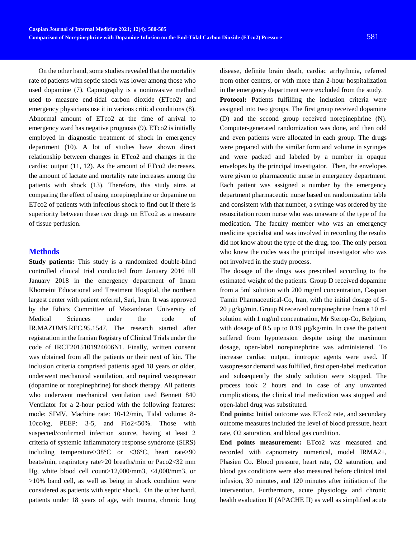On the other hand, some studies revealed that the mortality rate of patients with septic shock was lower among those who used dopamine [\(7\)](#page-5-5). Capnography is a noninvasive method used to measure end-tidal carbon dioxide (ETco2) and emergency physicians use it in various critical conditions [\(8\)](#page-5-6). Abnormal amount of ETco2 at the time of arrival to emergency ward has negative prognosis [\(9\)](#page-5-7). ETco2 is initially employed in diagnostic treatment of shock in emergency department (10). A lot of studies have shown direct relationship between changes in ETco2 and changes in the cardiac output [\(11,](#page-5-8) [12\)](#page-5-9). As the amount of ETco2 decreases, the amount of lactate and mortality rate increases among the patients with shock [\(13\)](#page-5-10). Therefore, this study aims at comparing the effect of using norepinephrine or dopamine on ETco2 of patients with infectious shock to find out if there is superiority between these two drugs on ETco2 as a measure of tissue perfusion.

## **Methods**

**Study patients:** This study is a randomized double-blind controlled clinical trial conducted from January 2016 till January 2018 in the emergency department of Imam Khomeini Educational and Treatment Hospital, the northern largest center with patient referral, Sari, Iran. It was approved by the Ethics Committee of Mazandaran University of Medical Sciences under the code of IR.MAZUMS.REC.95.1547. The research started after registration in the Iranian Registry of Clinical Trials under the code of IRCT2015101924606N1. Finally, written consent was obtained from all the patients or their next of kin. The inclusion criteria comprised patients aged 18 years or older, underwent mechanical ventilation, and required vasopressor (dopamine or norepinephrine) for shock therapy. All patients who underwent mechanical ventilation used Bennett 840 Ventilator for a 2-hour period with the following features: mode: SIMV, Machine rate: 10-12/min, Tidal volume: 8- 10cc/kg, PEEP: 3-5, and FIo2<50%. Those with suspected/confirmed infection source, having at least 2 criteria of systemic inflammatory response syndrome (SIRS) including temperature>38°C or <36°C, heart rate>90 beats/min, respiratory rate>20 breaths/min or Paco2<32 mm Hg, white blood cell count>12,000/mm3, <4,000/mm3, or >10% band cell, as well as being in shock condition were considered as patients with septic shock. On the other hand, patients under 18 years of age, with trauma, chronic lung

disease, definite brain death, cardiac arrhythmia, referred from other centers, or with more than 2-hour hospitalization in the emergency department were excluded from the study.

Protocol: Patients fulfilling the inclusion criteria were assigned into two groups. The first group received dopamine (D) and the second group received norepinephrine (N). Computer-generated randomization was done, and then odd and even patients were allocated in each group. The drugs were prepared with the similar form and volume in syringes and were packed and labeled by a number in opaque envelopes by the principal investigator. Then, the envelopes were given to pharmaceutic nurse in emergency department. Each patient was assigned a number by the emergency department pharmaceutic nurse based on randomization table and consistent with that number, a syringe was ordered by the resuscitation room nurse who was unaware of the type of the medication. The faculty member who was an emergency medicine specialist and was involved in recording the results did not know about the type of the drug, too. The only person who knew the codes was the principal investigator who was not involved in the study process.

The dosage of the drugs was prescribed according to the estimated weight of the patients. Group D received dopamine from a 5ml solution with 200 mg/ml concentration, Caspian Tamin Pharmaceutical-Co, Iran, with the initial dosage of 5- 20 µg/kg/min. Group N received norepinephrine from a 10 ml solution with 1 mg/ml concentration, Mr Sterop-Co, Belgium, with dosage of 0.5 up to 0.19  $\mu$ g/kg/min. In case the patient suffered from hypotension despite using the maximum dosage, open-label norepinephrine was administered. To increase cardiac output, inotropic agents were used. If vasopressor demand was fulfilled, first open-label medication and subsequently the study solution were stopped. The process took 2 hours and in case of any unwanted complications, the clinical trial medication was stopped and open-label drug was substituted.

**End points:** Initial outcome was ETco2 rate, and secondary outcome measures included the level of blood pressure, heart rate, O2 saturation, and blood gas condition.

**End points measurement:** ETco2 was measured and recorded with capnometry numerical, model IRMA2+, Phasien Co. Blood pressure, heart rate, O2 saturation, and blood gas conditions were also measured before clinical trial infusion, 30 minutes, and 120 minutes after initiation of the intervention. Furthermore, acute physiology and chronic health evaluation II (APACHE II) as well as simplified acute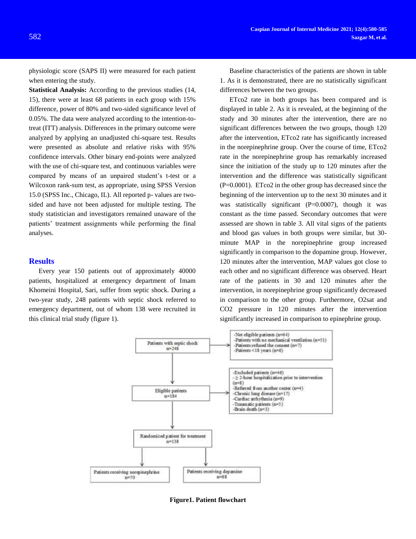physiologic score (SAPS II) were measured for each patient when entering the study.

**Statistical Analysis:** According to the previous studies [\(14,](#page-5-11) [15\)](#page-5-12), there were at least 68 patients in each group with 15% difference, power of 80% and two-sided significance level of 0.05%. The data were analyzed according to the intention-totreat (ITT) analysis. Differences in the primary outcome were analyzed by applying an unadjusted chi-square test. Results were presented as absolute and relative risks with 95% confidence intervals. Other binary end-points were analyzed with the use of chi-square test, and continuous variables were compared by means of an unpaired student's t-test or a Wilcoxon rank-sum test, as appropriate, using SPSS Version 15.0 (SPSS Inc., Chicago, IL). All reported p- values are twosided and have not been adjusted for multiple testing. The study statistician and investigators remained unaware of the patients' treatment assignments while performing the final analyses.

#### **Results**

Every year 150 patients out of approximately 40000 patients, hospitalized at emergency department of Imam Khomeini Hospital, Sari, suffer from septic shock. During a two-year study, 248 patients with septic shock referred to emergency department, out of whom 138 were recruited in this clinical trial study (figure 1).

Baseline characteristics of the patients are shown in table 1. As it is demonstrated, there are no statistically significant differences between the two groups.

ETco2 rate in both groups has been compared and is displayed in table 2. As it is revealed, at the beginning of the study and 30 minutes after the intervention, there are no significant differences between the two groups, though 120 after the intervention, ETco2 rate has significantly increased in the norepinephrine group. Over the course of time, ETco2 rate in the norepinephrine group has remarkably increased since the initiation of the study up to 120 minutes after the intervention and the difference was statistically significant (P=0.0001). ETco2 in the other group has decreased since the beginning of the intervention up to the next 30 minutes and it was statistically significant  $(P=0.0007)$ , though it was constant as the time passed. Secondary outcomes that were assessed are shown in table 3. All vital signs of the patients and blood gas values in both groups were similar, but 30 minute MAP in the norepinephrine group increased significantly in comparison to the dopamine group. However, 120 minutes after the intervention, MAP values got close to each other and no significant difference was observed. Heart rate of the patients in 30 and 120 minutes after the intervention, in norepinephrine group significantly decreased in comparison to the other group. Furthermore, O2sat and CO2 pressure in 120 minutes after the intervention significantly increased in comparison to epinephrine group.



**Figure1. Patient flowchart**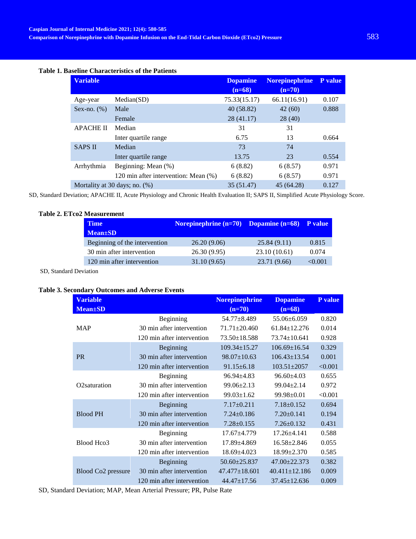#### **Table 1. Baseline Characteristics of the Patients**

| <b>Variable</b>                  |                                      | <b>Dopamine</b> | <b>Norepinephrine</b> | P value |
|----------------------------------|--------------------------------------|-----------------|-----------------------|---------|
|                                  |                                      | $(n=68)$        | $(n=70)$              |         |
| Age-year                         | Median(SD)                           | 75.33(15.17)    | 66.11(16.91)          | 0.107   |
| Sex-no. $(\%)$                   | Male                                 | 40(58.82)       | 42(60)                | 0.888   |
|                                  | Female                               | 28 (41.17)      | 28 (40)               |         |
| <b>APACHE II</b>                 | Median                               | 31              | 31                    |         |
|                                  | Inter quartile range                 | 6.75            | 13                    | 0.664   |
| <b>SAPS II</b>                   | Median                               | 73              | 74                    |         |
|                                  | Inter quartile range                 | 13.75           | 23                    | 0.554   |
| Arrhythmia                       | Beginning: Mean (%)                  | 6(8.82)         | 6(8.57)               | 0.971   |
|                                  | 120 min after intervention: Mean (%) | 6(8.82)         | 6(8.57)               | 0.971   |
| Mortality at 30 days; no. $(\%)$ |                                      | 35 (51.47)      | 45 (64.28)            | 0.127   |

SD, Standard Deviation; APACHE II, Acute Physiology and Chronic Health Evaluation II; SAPS II, [Simplified Acute Physiology Score.](https://www.google.com/url?sa=t&rct=j&q=&esrc=s&source=web&cd=&cad=rja&uact=8&ved=2ahUKEwiwvO2eqrvtAhWrQxUIHcJ3Df4QFjAAegQIAxAC&url=https%3A%2F%2Fwww.mdcalc.com%2Fsimplified-acute-physiology-score-saps-ii&usg=AOvVaw3E2KS6OEgiKSJGP7l9za6l)

## **Table 2. ETco2 Measurement**

| <b>Time</b>                   | Norepinephrine $(n=70)$ Dopamine $(n=68)$ P value |              |        |
|-------------------------------|---------------------------------------------------|--------------|--------|
| $Mean \pm SD$                 |                                                   |              |        |
| Beginning of the intervention | 26.20(9.06)                                       | 25.84(9.11)  | 0.815  |
| 30 min after intervention     | 26.30(9.95)                                       | 23.10(10.61) | 0.074  |
| 120 min after intervention    | 31.10 (9.65)                                      | 23.71 (9.66) | <0.001 |
|                               |                                                   |              |        |

SD, Standard Deviation

### **Table 3. Secondary Outcomes and Adverse Events**

| <b>Variable</b>                |                            | <b>Norepinephrine</b> | <b>Dopamine</b>     | P value |
|--------------------------------|----------------------------|-----------------------|---------------------|---------|
| <b>Mean</b> ±SD                |                            | $(n=70)$              | $(n=68)$            |         |
|                                | Beginning                  | 54.77±8.489           | $55.06 \pm 6.059$   | 0.820   |
| <b>MAP</b>                     | 30 min after intervention  | $71.71 \pm 20.460$    | $61.84 \pm 12.276$  | 0.014   |
|                                | 120 min after intervention | 73.50±18.588          | $73.74 \pm 10.641$  | 0.928   |
|                                | Beginning                  | $109.34 \pm 15.27$    | $106.69 \pm 16.54$  | 0.329   |
| <b>PR</b>                      | 30 min after intervention  | $98.07 \pm 10.63$     | $106.43 \pm 13.54$  | 0.001   |
|                                | 120 min after intervention | $91.15 \pm 6.18$      | $103.51 \pm 2057$   | < 0.001 |
|                                | Beginning                  | $96.94 \pm 4.83$      | $96.60 \pm 4.03$    | 0.655   |
| O <sub>2</sub> saturation      | 30 min after intervention  | $99.06 \pm 2.13$      | $99.04 \pm 2.14$    | 0.972   |
|                                | 120 min after intervention | $99.03 \pm 1.62$      | $99.98 \pm 0.01$    | < 0.001 |
|                                | Beginning                  | $7.17 \pm 0.211$      | $7.18 \pm 0.152$    | 0.694   |
| <b>Blood PH</b>                | 30 min after intervention  | $7.24 \pm 0.186$      | $7.20 \pm 0.141$    | 0.194   |
|                                | 120 min after intervention | $7.28 \pm 0.155$      | $7.26 \pm 0.132$    | 0.431   |
|                                | Beginning                  | $17.67 + 4.779$       | $17.26 \pm 4.141$   | 0.588   |
| Blood Hco3                     | 30 min after intervention  | $17.89 \pm 4.869$     | $16.58 \pm 2.846$   | 0.055   |
|                                | 120 min after intervention | $18.69{\pm}4.023$     | $18.99 \pm 2.370$   | 0.585   |
|                                | Beginning                  | $50.60 \pm 25.837$    | $47.00 \pm 22.373$  | 0.382   |
| Blood Co <sub>2</sub> pressure | 30 min after intervention  | $47.477 \pm 18.601$   | $40.411 \pm 12.186$ | 0.009   |
|                                | 120 min after intervention | $44.47 \pm 17.56$     | $37.45 \pm 12.636$  | 0.009   |

SD, Standard Deviation; MAP, Mean Arterial Pressure; PR, Pulse Rate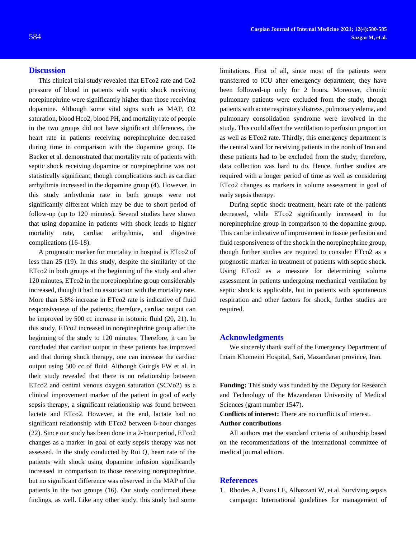This clinical trial study revealed that ETco2 rate and Co2 pressure of blood in patients with septic shock receiving norepinephrine were significantly higher than those receiving dopamine. Although some vital signs such as MAP, O2 saturation, blood Hco2, blood PH, and mortality rate of people in the two groups did not have significant differences, the heart rate in patients receiving norepinephrine decreased during time in comparison with the dopamine group. De Backer et al. demonstrated that mortality rate of patients with septic shock receiving dopamine or norepinephrine was not statistically significant, though complications such as cardiac arrhythmia increased in the dopamine group [\(4\)](#page-5-2). However, in this study arrhythmia rate in both groups were not significantly different which may be due to short period of follow-up (up to 120 minutes). Several studies have shown that using dopamine in patients with shock leads to higher mortality rate, cardiac arrhythmia, and digestive complications [\(16-18\)](#page-5-13).

A prognostic marker for mortality in hospital is ETco2 of less than 25 [\(19\)](#page-5-14). In this study, despite the similarity of the ETco2 in both groups at the beginning of the study and after 120 minutes, ETco2 in the norepinephrine group considerably increased, though it had no association with the mortality rate. More than 5.8% increase in ETco2 rate is indicative of fluid responsiveness of the patients; therefore, cardiac output can be improved by 500 cc increase in isotonic fluid [\(20,](#page-5-15) [21\)](#page-5-16). In this study, ETco2 increased in norepinephrine group after the beginning of the study to 120 minutes. Therefore, it can be concluded that cardiac output in these patients has improved and that during shock therapy, one can increase the cardiac output using 500 cc of fluid. Although Guirgis FW et al. in their study revealed that there is no relationship between ETco2 and central venous oxygen saturation (SCVo2) as a clinical improvement marker of the patient in goal of early sepsis therapy, a significant relationship was found between lactate and ETco2. However, at the end, lactate had no significant relationship with ETco2 between 6-hour changes [\(22\)](#page-5-17). Since our study has been done in a 2-hour period, ETco2 changes as a marker in goal of early sepsis therapy was not assessed. In the study conducted by Rui Q, heart rate of the patients with shock using dopamine infusion significantly increased in comparison to those receiving norepinephrine, but no significant difference was observed in the MAP of the patients in the two groups [\(16\)](#page-5-13). Our study confirmed these findings, as well. Like any other study, this study had some

limitations. First of all, since most of the patients were transferred to ICU after emergency department, they have been followed-up only for 2 hours. Moreover, chronic pulmonary patients were excluded from the study, though patients with acute respiratory distress, pulmonary edema, and pulmonary consolidation syndrome were involved in the study. This could affect the ventilation to perfusion proportion as well as ETco2 rate. Thirdly, this emergency department is the central ward for receiving patients in the north of Iran and these patients had to be excluded from the study; therefore, data collection was hard to do. Hence, further studies are required with a longer period of time as well as considering ETco2 changes as markers in volume assessment in goal of early sepsis therapy.

During septic shock treatment, heart rate of the patients decreased, while ETco2 significantly increased in the norepinephrine group in comparison to the dopamine group. This can be indicative of improvement in tissue perfusion and fluid responsiveness of the shock in the norepinephrine group, though further studies are required to consider ETco2 as a prognostic marker in treatment of patients with septic shock. Using ETco2 as a measure for determining volume assessment in patients undergoing mechanical ventilation by septic shock is applicable, but in patients with spontaneous respiration and other factors for shock, further studies are required.

#### **Acknowledgments**

We sincerely thank staff of the Emergency Department of Imam Khomeini Hospital, Sari, Mazandaran province, Iran.

**Funding:** This study was funded by the Deputy for Research and Technology of the Mazandaran University of Medical Sciences (grant number 1547).

**Conflicts of interest:** There are no conflicts of interest. **Author contributions**

All authors met the standard criteria of authorship based on the recommendations of the international committee of medical journal editors.

#### **References**

<span id="page-4-0"></span>1. Rhodes A, Evans LE, Alhazzani W, et al. Surviving sepsis campaign: International guidelines for management of